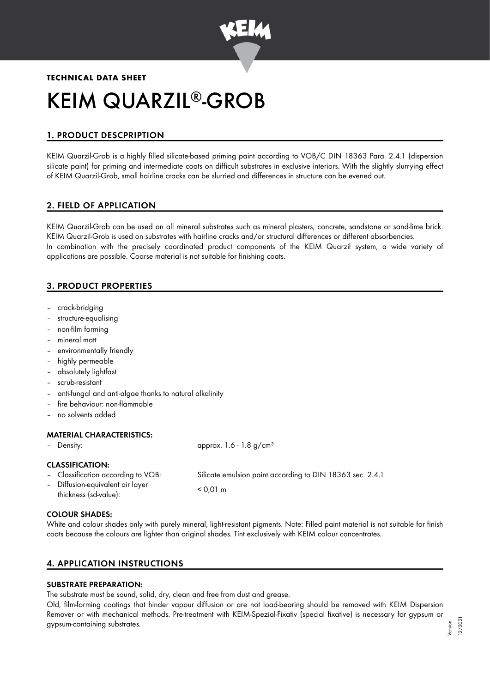

# **TECHNICAL DATA SHEET** KEIM QUARZIL®-GROB

# 1. PRODUCT DESCPRIPTION

KEIM Quarzil-Grob is a highly filled silicate-based priming paint according to VOB/C DIN 18363 Para. 2.4.1 (dispersion silicate paint) for priming and intermediate coats on difficult substrates in exclusive interiors. With the slightly slurrying effect of KEIM Quarzil-Grob, small hairline cracks can be slurried and differences in structure can be evened out.

# 2. FIELD OF APPLICATION

KEIM Quarzil-Grob can be used on all mineral substrates such as mineral plasters, concrete, sandstone or sand-lime brick. KEIM Quarzil-Grob is used on substrates with hairline cracks and/or structural differences or different absorbencies. In combination with the precisely coordinated product components of the KEIM Quarzil system, a wide variety of applications are possible. Coarse material is not suitable for finishing coats.

# 3. PRODUCT PROPERTIES

- crack-bridging
- structure-equalising
- non-film forming
- mineral matt
- environmentally friendly
- highly permeable
- absolutely lightfast
- scrub-resistant
- anti-fungal and anti-algae thanks to natural alkalinity
- fire behaviour: non-flammable
- no solvents added

## MATERIAL CHARACTERISTICS:

– Density: approx. 1.6 - 1.8 g/cm<sup>3</sup>

## CLASSIFICATION:

– Classification according to VOB: Silicate emulsion paint according to DIN 18363 sec. 2.4.1

– Diffusion-equivalent air layer thickness (sd-value): < 0,01 m

#### COLOUR SHADES:

White and colour shades only with purely mineral, light-resistant pigments. Note: Filled paint material is not suitable for finish coats because the colours are lighter than original shades. Tint exclusively with KEIM colour concentrates.

# 4. APPLICATION INSTRUCTIONS

## SUBSTRATE PREPARATION:

The substrate must be sound, solid, dry, clean and free from dust and grease.

Old, film-forming coatings that hinder vapour diffusion or are not load-bearing should be removed with KEIM Dispersion Remover or with mechanical methods. Pre-treatment with KEIM-Spezial-Fixativ (special fixative) is necessary for gypsum or gypsum-containing substrates.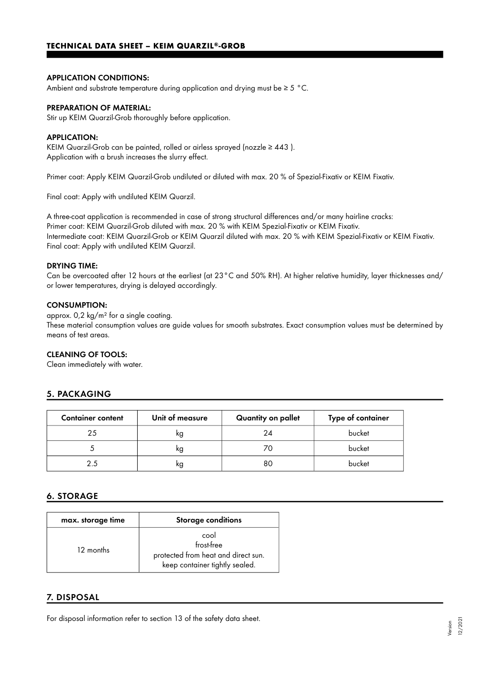#### APPLICATION CONDITIONS:

Ambient and substrate temperature during application and drying must be ≥ 5 °C.

#### PREPARATION OF MATERIAL:

Stir up KEIM Quarzil-Grob thoroughly before application.

#### APPLICATION:

KEIM Quarzil-Grob can be painted, rolled or airless sprayed (nozzle ≥ 443 ). Application with a brush increases the slurry effect.

Primer coat: Apply KEIM Quarzil-Grob undiluted or diluted with max. 20 % of Spezial-Fixativ or KEIM Fixativ.

Final coat: Apply with undiluted KEIM Quarzil.

A three-coat application is recommended in case of strong structural differences and/or many hairline cracks: Primer coat: KEIM Quarzil-Grob diluted with max. 20 % with KEIM Spezial-Fixativ or KEIM Fixativ. Intermediate coat: KEIM Quarzil-Grob or KEIM Quarzil diluted with max. 20 % with KEIM Spezial-Fixativ or KEIM Fixativ. Final coat: Apply with undiluted KEIM Quarzil.

#### DRYING TIME:

Can be overcoated after 12 hours at the earliest (at 23°C and 50% RH). At higher relative humidity, layer thicknesses and/ or lower temperatures, drying is delayed accordingly.

#### CONSUMPTION:

approx. 0,2 kg/m² for a single coating.

These material consumption values are guide values for smooth substrates. Exact consumption values must be determined by means of test areas.

#### CLEANING OF TOOLS:

Clean immediately with water.

# 5. PACKAGING

| <b>Container content</b> | Unit of measure | Quantity on pallet | Type of container |
|--------------------------|-----------------|--------------------|-------------------|
| 25                       | ĸg              | 24                 | bucket            |
|                          | ĸg              |                    | bucket            |
| 2.5                      | ĸg              | 80                 | bucket            |

# 6. STORAGE

| max. storage time | <b>Storage conditions</b>                                                                   |  |
|-------------------|---------------------------------------------------------------------------------------------|--|
| 12 months         | cool<br>frost-free<br>protected from heat and direct sun.<br>keep container tightly sealed. |  |

## 7. DISPOSAL

For disposal information refer to section 13 of the safety data sheet.